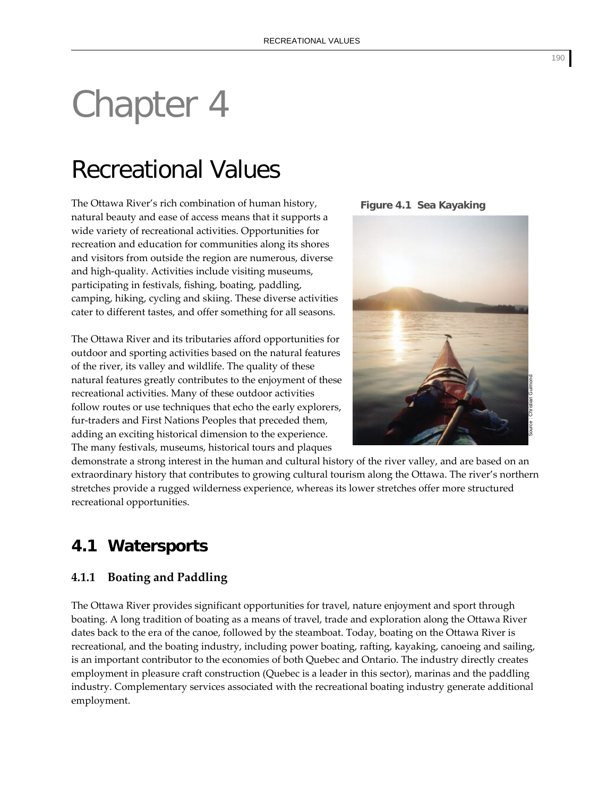# Chapter 4

# Recreational Values

The Ottawa River's rich combination of human history, natural beauty and ease of access means that it supports a wide variety of recreational activities. Opportunities for recreation and education for communities along its shores and visitors from outside the region are numerous, diverse and high‐quality. Activities include visiting museums, participating in festivals, fishing, boating, paddling, camping, hiking, cycling and skiing. These diverse activities cater to different tastes, and offer something for all seasons.

The Ottawa River and its tributaries afford opportunities for outdoor and sporting activities based on the natural features of the river, its valley and wildlife. The quality of these natural features greatly contributes to the enjoyment of these recreational activities. Many of these outdoor activities follow routes or use techniques that echo the early explorers, fur-traders and First Nations Peoples that preceded them, adding an exciting historical dimension to the experience. The many festivals, museums, historical tours and plaques

**Figure 4.1 Sea Kayaking** 



demonstrate a strong interest in the human and cultural history of the river valley, and are based on an extraordinary history that contributes to growing cultural tourism along the Ottawa. The river's northern stretches provide a rugged wilderness experience, whereas its lower stretches offer more structured recreational opportunities.

# **4.1 Watersports**

# **4.1.1 Boating and Paddling**

The Ottawa River provides significant opportunities for travel, nature enjoyment and sport through boating. A long tradition of boating as a means of travel, trade and exploration along the Ottawa River dates back to the era of the canoe, followed by the steamboat. Today, boating on the Ottawa River is recreational, and the boating industry, including power boating, rafting, kayaking, canoeing and sailing, is an important contributor to the economies of both Quebec and Ontario. The industry directly creates employment in pleasure craft construction (Quebec is a leader in this sector), marinas and the paddling industry. Complementary services associated with the recreational boating industry generate additional employment.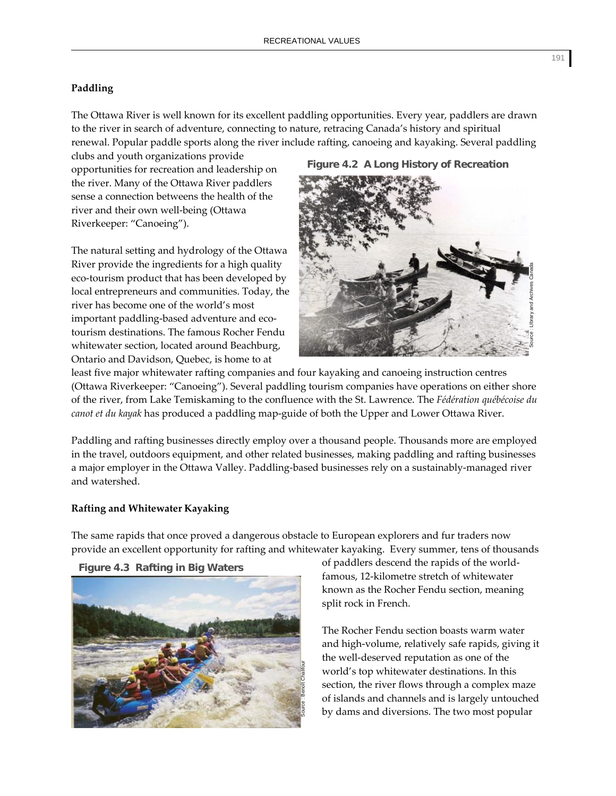### **Paddling**

The Ottawa River is well known for its excellent paddling opportunities. Every year, paddlers are drawn to the river in search of adventure, connecting to nature, retracing Canada's history and spiritual renewal. Popular paddle sports along the river include rafting, canoeing and kayaking. Several paddling

clubs and youth organizations provide opportunities for recreation and leadership on the river. Many of the Ottawa River paddlers sense a connection betweens the health of the river and their own well‐being (Ottawa Riverkeeper: "Canoeing").

The natural setting and hydrology of the Ottawa River provide the ingredients for a high quality eco-tourism product that has been developed by local entrepreneurs and communities. Today, the river has become one of the world's most important paddling-based adventure and ecotourism destinations. The famous Rocher Fendu whitewater section, located around Beachburg, Ontario and Davidson, Quebec, is home to at

# **Figure 4.2 A Long History of Recreation**



least five major whitewater rafting companies and four kayaking and canoeing instruction centres (Ottawa Riverkeeper: "Canoeing"). Several paddling tourism companies have operations on either shore of the river, from Lake Temiskaming to the confluence with the St. Lawrence. The *Fédération québécoise du canot et du kayak* has produced a paddling map‐guide of both the Upper and Lower Ottawa River.

Paddling and rafting businesses directly employ over a thousand people. Thousands more are employed in the travel, outdoors equipment, and other related businesses, making paddling and rafting businesses a major employer in the Ottawa Valley. Paddling‐based businesses rely on a sustainably‐managed river and watershed.

#### **Rafting and Whitewater Kayaking**

The same rapids that once proved a dangerous obstacle to European explorers and fur traders now provide an excellent opportunity for rafting and whitewater kayaking. Every summer, tens of thousands



**Figure 4.3 Rafting in Big Waters** 

of paddlers descend the rapids of the world‐ famous, 12‐kilometre stretch of whitewater known as the Rocher Fendu section, meaning split rock in French.

The Rocher Fendu section boasts warm water and high‐volume, relatively safe rapids, giving it the well‐deserved reputation as one of the world's top whitewater destinations. In this section, the river flows through a complex maze of islands and channels and is largely untouched by dams and diversions. The two most popular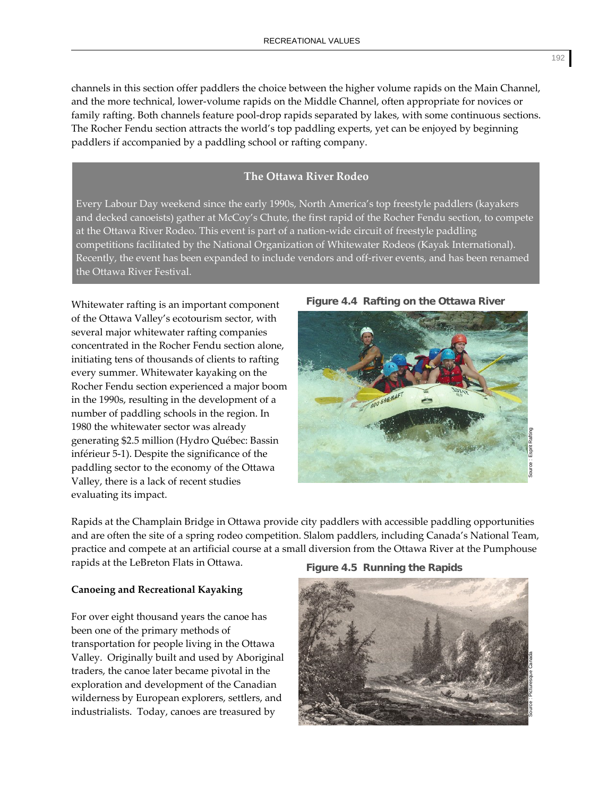channels in this section offer paddlers the choice between the higher volume rapids on the Main Channel, and the more technical, lower‐volume rapids on the Middle Channel, often appropriate for novices or family rafting. Both channels feature pool-drop rapids separated by lakes, with some continuous sections. The Rocher Fendu section attracts the world's top paddling experts, yet can be enjoyed by beginning paddlers if accompanied by a paddling school or rafting company.

# **The Ottawa River Rodeo**

Every Labour Day weekend since the early 1990s, North America's top freestyle paddlers (kayakers and decked canoeists) gather at McCoy's Chute, the first rapid of the Rocher Fendu section, to compete at the Ottawa River Rodeo. This event is part of a nation‐wide circuit of freestyle paddling competitions facilitated by the National Organization of Whitewater Rodeos (Kayak International). Recently, the event has been expanded to include vendors and off-river events, and has been renamed the Ottawa River Festival.

Whitewater rafting is an important component of the Ottawa Valley's ecotourism sector, with several major whitewater rafting companies concentrated in the Rocher Fendu section alone, initiating tens of thousands of clients to rafting every summer. Whitewater kayaking on the Rocher Fendu section experienced a major boom in the 1990s, resulting in the development of a number of paddling schools in the region. In 1980 the whitewater sector was already generating \$2.5 million (Hydro Québec: Bassin inférieur 5‐1). Despite the significance of the paddling sector to the economy of the Ottawa Valley, there is a lack of recent studies evaluating its impact.

# **Figure 4.4 Rafting on the Ottawa River**



Rapids at the Champlain Bridge in Ottawa provide city paddlers with accessible paddling opportunities and are often the site of a spring rodeo competition. Slalom paddlers, including Canada's National Team, practice and compete at an artificial course at a small diversion from the Ottawa River at the Pumphouse rapids at the LeBreton Flats in Ottawa.

#### **Canoeing and Recreational Kayaking**

For over eight thousand years the canoe has been one of the primary methods of transportation for people living in the Ottawa Valley. Originally built and used by Aboriginal traders, the canoe later became pivotal in the exploration and development of the Canadian wilderness by European explorers, settlers, and industrialists. Today, canoes are treasured by

#### **Figure 4.5 Running the Rapids**



192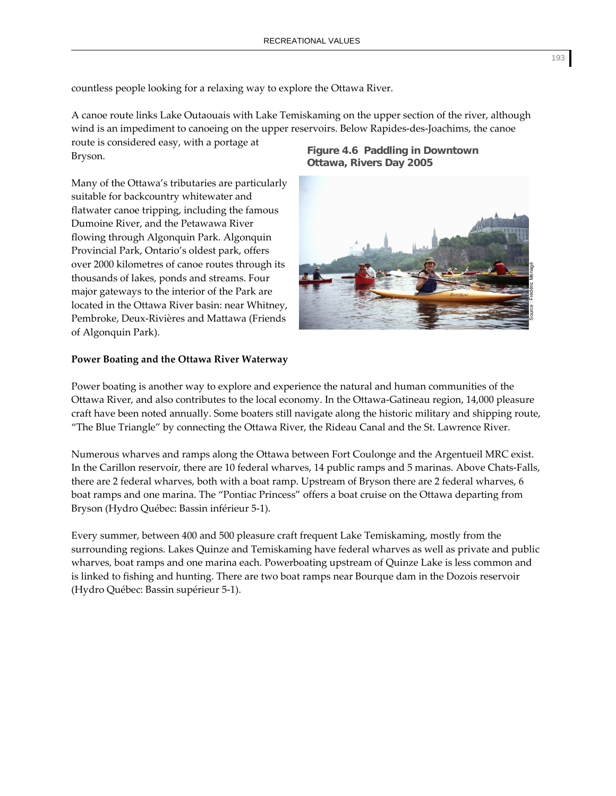countless people looking for a relaxing way to explore the Ottawa River.

A canoe route links Lake Outaouais with Lake Temiskaming on the upper section of the river, although wind is an impediment to canoeing on the upper reservoirs. Below Rapides-des-Joachims, the canoe route is considered easy, with a portage at Bryson. **Figure 4.6 Paddling in Downtown** 

Many of the Ottawa's tributaries are particularly suitable for backcountry whitewater and flatwater canoe tripping, including the famous Dumoine River, and the Petawawa River flowing through Algonquin Park. Algonquin Provincial Park, Ontario's oldest park, offers over 2000 kilometres of canoe routes through its thousands of lakes, ponds and streams. Four major gateways to the interior of the Park are located in the Ottawa River basin: near Whitney, Pembroke, Deux‐Rivières and Mattawa (Friends of Algonquin Park).

# **Power Boating and the Ottawa River Waterway**

Power boating is another way to explore and experience the natural and human communities of the Ottawa River, and also contributes to the local economy. In the Ottawa‐Gatineau region, 14,000 pleasure craft have been noted annually. Some boaters still navigate along the historic military and shipping route, "The Blue Triangle" by connecting the Ottawa River, the Rideau Canal and the St. Lawrence River.

Numerous wharves and ramps along the Ottawa between Fort Coulonge and the Argentueil MRC exist. In the Carillon reservoir, there are 10 federal wharves, 14 public ramps and 5 marinas. Above Chats-Falls, there are 2 federal wharves, both with a boat ramp. Upstream of Bryson there are 2 federal wharves, 6 boat ramps and one marina. The "Pontiac Princess" offers a boat cruise on the Ottawa departing from Bryson (Hydro Québec: Bassin inférieur 5‐1).

Every summer, between 400 and 500 pleasure craft frequent Lake Temiskaming, mostly from the surrounding regions. Lakes Quinze and Temiskaming have federal wharves as well as private and public wharves, boat ramps and one marina each. Powerboating upstream of Quinze Lake is less common and is linked to fishing and hunting. There are two boat ramps near Bourque dam in the Dozois reservoir (Hydro Québec: Bassin supérieur 5‐1).

**Ottawa, Rivers Day 2005** 

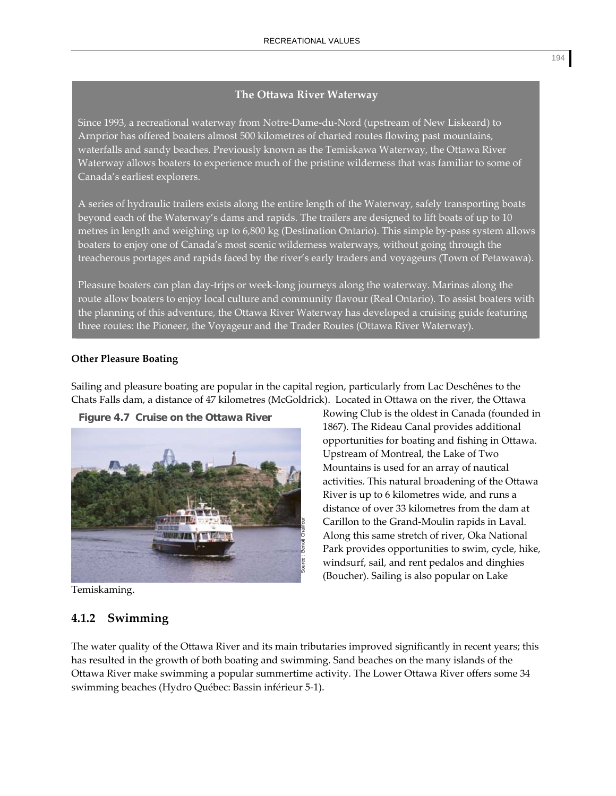# **The Ottawa River Waterway**

Since 1993, a recreational waterway from Notre‐Dame‐du‐Nord (upstream of New Liskeard) to Arnprior has offered boaters almost 500 kilometres of charted routes flowing past mountains, waterfalls and sandy beaches. Previously known as the Temiskawa Waterway, the Ottawa River Waterway allows boaters to experience much of the pristine wilderness that was familiar to some of Canada's earliest explorers.

A series of hydraulic trailers exists along the entire length of the Waterway, safely transporting boats beyond each of the Waterway's dams and rapids. The trailers are designed to lift boats of up to 10 metres in length and weighing up to 6,800 kg (Destination Ontario). This simple by‐pass system allows boaters to enjoy one of Canada's most scenic wilderness waterways, without going through the treacherous portages and rapids faced by the river's early traders and voyageurs (Town of Petawawa).

Pleasure boaters can plan day‐trips or week‐long journeys along the waterway. Marinas along the route allow boaters to enjoy local culture and community flavour (Real Ontario). To assist boaters with the planning of this adventure, the Ottawa River Waterway has developed a cruising guide featuring three routes: the Pioneer, the Voyageur and the Trader Routes (Ottawa River Waterway).

# **Other Pleasure Boating**

Sailing and pleasure boating are popular in the capital region, particularly from Lac Deschênes to the Chats Falls dam, a distance of 47 kilometres (McGoldrick). Located in Ottawa on the river, the Ottawa

**Figure 4.7 Cruise on the Ottawa River**



Temiskaming.

# **4.1.2 Swimming**

Rowing Club is the oldest in Canada (founded in 1867). The Rideau Canal provides additional opportunities for boating and fishing in Ottawa. Upstream of Montreal, the Lake of Two Mountains is used for an array of nautical activities. This natural broadening of the Ottawa River is up to 6 kilometres wide, and runs a distance of over 33 kilometres from the dam at Carillon to the Grand‐Moulin rapids in Laval. Along this same stretch of river, Oka National Park provides opportunities to swim, cycle, hike, windsurf, sail, and rent pedalos and dinghies (Boucher). Sailing is also popular on Lake

The water quality of the Ottawa River and its main tributaries improved significantly in recent years; this has resulted in the growth of both boating and swimming. Sand beaches on the many islands of the Ottawa River make swimming a popular summertime activity. The Lower Ottawa River offers some 34 swimming beaches (Hydro Québec: Bassin inférieur 5‐1).